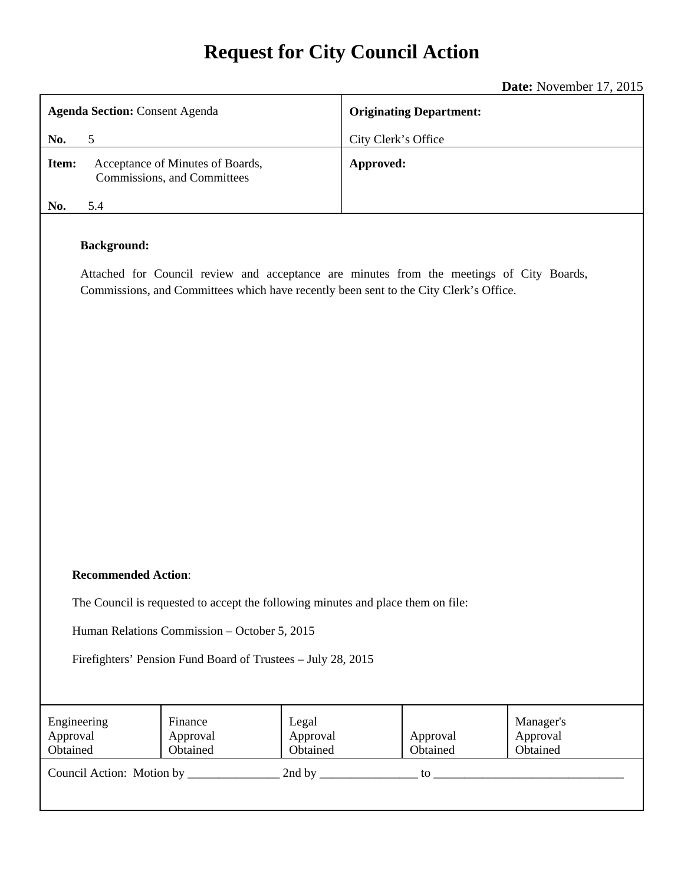# **Request for City Council Action**

|                                                                                                                                                                                                         | Date: November 17, 2015        |  |
|---------------------------------------------------------------------------------------------------------------------------------------------------------------------------------------------------------|--------------------------------|--|
| <b>Agenda Section: Consent Agenda</b>                                                                                                                                                                   | <b>Originating Department:</b> |  |
| $5\phantom{.0}$<br>No.                                                                                                                                                                                  | City Clerk's Office            |  |
| Item:<br>Acceptance of Minutes of Boards,<br>Commissions, and Committees                                                                                                                                | Approved:                      |  |
| No.<br>5.4                                                                                                                                                                                              |                                |  |
| <b>Background:</b><br>Attached for Council review and acceptance are minutes from the meetings of City Boards,<br>Commissions, and Committees which have recently been sent to the City Clerk's Office. |                                |  |

#### **Recommended Action**:

The Council is requested to accept the following minutes and place them on file:

Human Relations Commission – October 5, 2015

Firefighters' Pension Fund Board of Trustees – July 28, 2015

| Engineering<br>Approval<br>Obtained | Finance<br>Approval<br>Obtained | Legal<br>Approval<br>Obtained | Approval<br>Obtained | Manager's<br>Approval<br>Obtained |
|-------------------------------------|---------------------------------|-------------------------------|----------------------|-----------------------------------|
| Council Action: Motion by           |                                 | 2nd by                        | tο                   |                                   |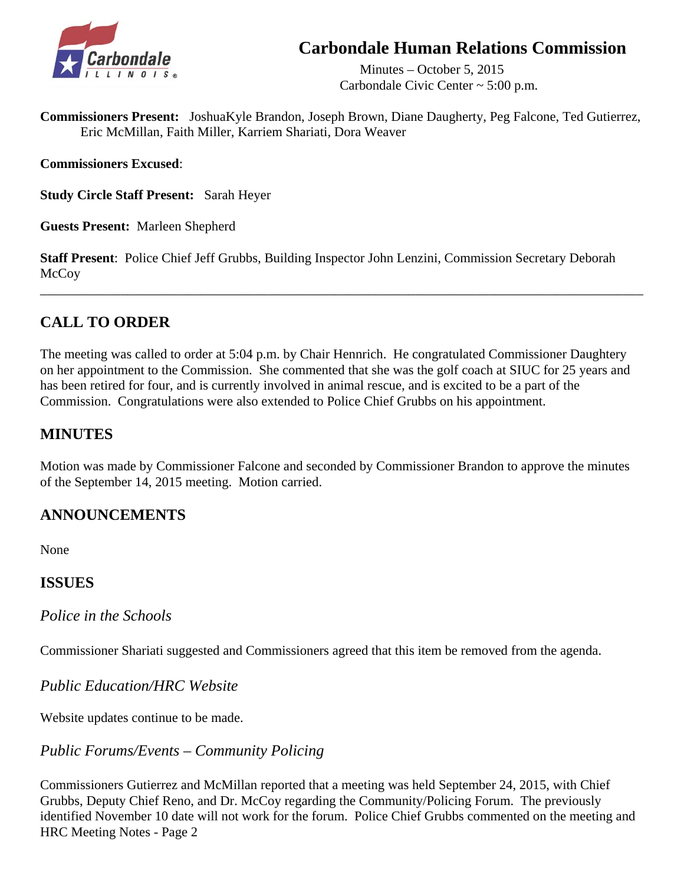# **Carbondale Human Relations Commission**



 Minutes – October 5, 2015 Carbondale Civic Center ~ 5:00 p.m.

**Commissioners Present:** JoshuaKyle Brandon, Joseph Brown, Diane Daugherty, Peg Falcone, Ted Gutierrez, Eric McMillan, Faith Miller, Karriem Shariati, Dora Weaver

**Commissioners Excused**:

**Study Circle Staff Present:** Sarah Heyer

**Guests Present:** Marleen Shepherd

**Staff Present**: Police Chief Jeff Grubbs, Building Inspector John Lenzini, Commission Secretary Deborah McCoy

\_\_\_\_\_\_\_\_\_\_\_\_\_\_\_\_\_\_\_\_\_\_\_\_\_\_\_\_\_\_\_\_\_\_\_\_\_\_\_\_\_\_\_\_\_\_\_\_\_\_\_\_\_\_\_\_\_\_\_\_\_\_\_\_\_\_\_\_\_\_\_\_\_\_\_\_\_\_\_\_\_\_\_\_\_\_\_\_\_\_

# **CALL TO ORDER**

The meeting was called to order at 5:04 p.m. by Chair Hennrich. He congratulated Commissioner Daughtery on her appointment to the Commission. She commented that she was the golf coach at SIUC for 25 years and has been retired for four, and is currently involved in animal rescue, and is excited to be a part of the Commission. Congratulations were also extended to Police Chief Grubbs on his appointment.

## **MINUTES**

Motion was made by Commissioner Falcone and seconded by Commissioner Brandon to approve the minutes of the September 14, 2015 meeting. Motion carried.

# **ANNOUNCEMENTS**

None

## **ISSUES**

*Police in the Schools* 

Commissioner Shariati suggested and Commissioners agreed that this item be removed from the agenda.

*Public Education/HRC Website*

Website updates continue to be made.

# *Public Forums/Events – Community Policing*

Commissioners Gutierrez and McMillan reported that a meeting was held September 24, 2015, with Chief Grubbs, Deputy Chief Reno, and Dr. McCoy regarding the Community/Policing Forum. The previously identified November 10 date will not work for the forum. Police Chief Grubbs commented on the meeting and HRC Meeting Notes - Page 2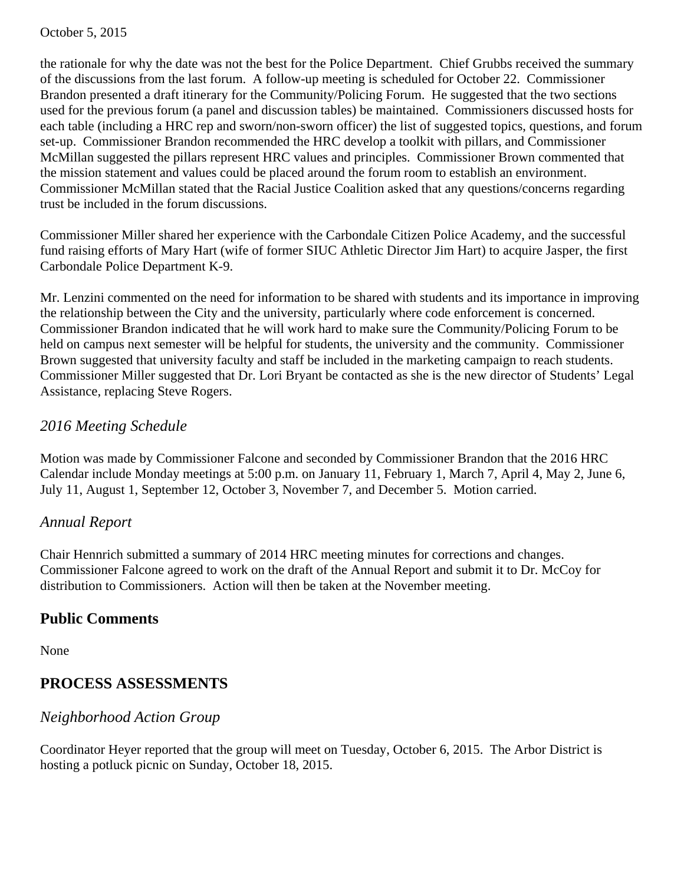the rationale for why the date was not the best for the Police Department. Chief Grubbs received the summary of the discussions from the last forum. A follow-up meeting is scheduled for October 22. Commissioner Brandon presented a draft itinerary for the Community/Policing Forum. He suggested that the two sections used for the previous forum (a panel and discussion tables) be maintained. Commissioners discussed hosts for each table (including a HRC rep and sworn/non-sworn officer) the list of suggested topics, questions, and forum set-up. Commissioner Brandon recommended the HRC develop a toolkit with pillars, and Commissioner McMillan suggested the pillars represent HRC values and principles. Commissioner Brown commented that the mission statement and values could be placed around the forum room to establish an environment. Commissioner McMillan stated that the Racial Justice Coalition asked that any questions/concerns regarding trust be included in the forum discussions.

Commissioner Miller shared her experience with the Carbondale Citizen Police Academy, and the successful fund raising efforts of Mary Hart (wife of former SIUC Athletic Director Jim Hart) to acquire Jasper, the first Carbondale Police Department K-9.

Mr. Lenzini commented on the need for information to be shared with students and its importance in improving the relationship between the City and the university, particularly where code enforcement is concerned. Commissioner Brandon indicated that he will work hard to make sure the Community/Policing Forum to be held on campus next semester will be helpful for students, the university and the community. Commissioner Brown suggested that university faculty and staff be included in the marketing campaign to reach students. Commissioner Miller suggested that Dr. Lori Bryant be contacted as she is the new director of Students' Legal Assistance, replacing Steve Rogers.

## *2016 Meeting Schedule*

 Motion was made by Commissioner Falcone and seconded by Commissioner Brandon that the 2016 HRC Calendar include Monday meetings at 5:00 p.m. on January 11, February 1, March 7, April 4, May 2, June 6, July 11, August 1, September 12, October 3, November 7, and December 5. Motion carried.

## *Annual Report*

 Chair Hennrich submitted a summary of 2014 HRC meeting minutes for corrections and changes. Commissioner Falcone agreed to work on the draft of the Annual Report and submit it to Dr. McCoy for distribution to Commissioners. Action will then be taken at the November meeting.

# **Public Comments**

None

# **PROCESS ASSESSMENTS**

## *Neighborhood Action Group*

 Coordinator Heyer reported that the group will meet on Tuesday, October 6, 2015. The Arbor District is hosting a potluck picnic on Sunday, October 18, 2015.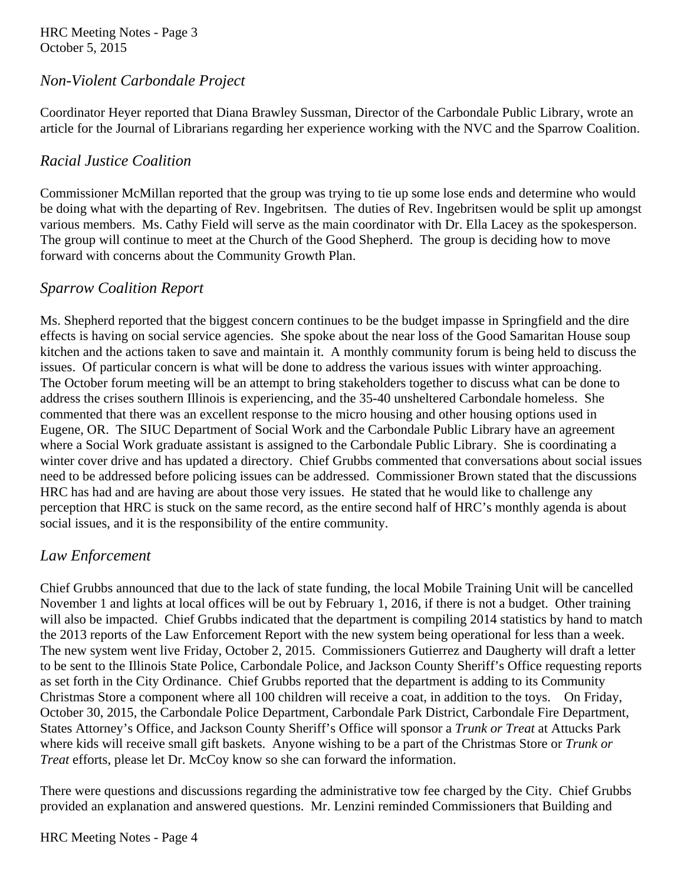HRC Meeting Notes - Page 3 October 5, 2015

## *Non-Violent Carbondale Project*

 Coordinator Heyer reported that Diana Brawley Sussman, Director of the Carbondale Public Library, wrote an article for the Journal of Librarians regarding her experience working with the NVC and the Sparrow Coalition.

## *Racial Justice Coalition*

 Commissioner McMillan reported that the group was trying to tie up some lose ends and determine who would be doing what with the departing of Rev. Ingebritsen. The duties of Rev. Ingebritsen would be split up amongst various members. Ms. Cathy Field will serve as the main coordinator with Dr. Ella Lacey as the spokesperson. The group will continue to meet at the Church of the Good Shepherd. The group is deciding how to move forward with concerns about the Community Growth Plan.

## *Sparrow Coalition Report*

 Ms. Shepherd reported that the biggest concern continues to be the budget impasse in Springfield and the dire effects is having on social service agencies. She spoke about the near loss of the Good Samaritan House soup kitchen and the actions taken to save and maintain it. A monthly community forum is being held to discuss the issues. Of particular concern is what will be done to address the various issues with winter approaching. The October forum meeting will be an attempt to bring stakeholders together to discuss what can be done to address the crises southern Illinois is experiencing, and the 35-40 unsheltered Carbondale homeless. She commented that there was an excellent response to the micro housing and other housing options used in Eugene, OR. The SIUC Department of Social Work and the Carbondale Public Library have an agreement where a Social Work graduate assistant is assigned to the Carbondale Public Library. She is coordinating a winter cover drive and has updated a directory. Chief Grubbs commented that conversations about social issues need to be addressed before policing issues can be addressed. Commissioner Brown stated that the discussions HRC has had and are having are about those very issues. He stated that he would like to challenge any perception that HRC is stuck on the same record, as the entire second half of HRC's monthly agenda is about social issues, and it is the responsibility of the entire community.

## *Law Enforcement*

Chief Grubbs announced that due to the lack of state funding, the local Mobile Training Unit will be cancelled November 1 and lights at local offices will be out by February 1, 2016, if there is not a budget. Other training will also be impacted. Chief Grubbs indicated that the department is compiling 2014 statistics by hand to match the 2013 reports of the Law Enforcement Report with the new system being operational for less than a week. The new system went live Friday, October 2, 2015. Commissioners Gutierrez and Daugherty will draft a letter to be sent to the Illinois State Police, Carbondale Police, and Jackson County Sheriff's Office requesting reports as set forth in the City Ordinance. Chief Grubbs reported that the department is adding to its Community Christmas Store a component where all 100 children will receive a coat, in addition to the toys. On Friday, October 30, 2015, the Carbondale Police Department, Carbondale Park District, Carbondale Fire Department, States Attorney's Office, and Jackson County Sheriff's Office will sponsor a *Trunk or Treat* at Attucks Park where kids will receive small gift baskets. Anyone wishing to be a part of the Christmas Store or *Trunk or Treat* efforts, please let Dr. McCoy know so she can forward the information.

 There were questions and discussions regarding the administrative tow fee charged by the City. Chief Grubbs provided an explanation and answered questions. Mr. Lenzini reminded Commissioners that Building and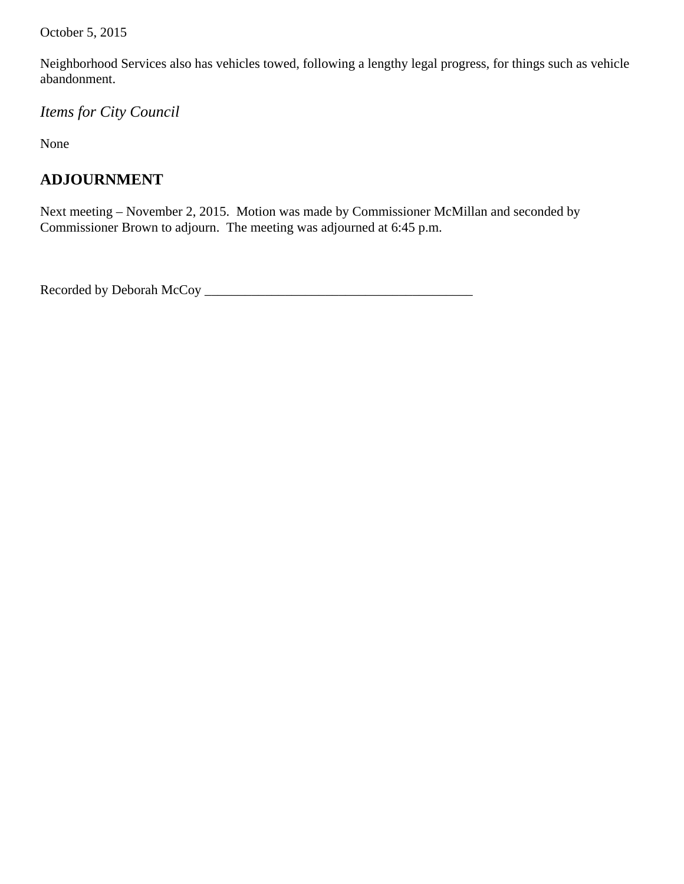October 5, 2015

 Neighborhood Services also has vehicles towed, following a lengthy legal progress, for things such as vehicle abandonment.

*Items for City Council* 

None

# **ADJOURNMENT**

Next meeting – November 2, 2015. Motion was made by Commissioner McMillan and seconded by Commissioner Brown to adjourn. The meeting was adjourned at 6:45 p.m.

Recorded by Deborah McCoy \_\_\_\_\_\_\_\_\_\_\_\_\_\_\_\_\_\_\_\_\_\_\_\_\_\_\_\_\_\_\_\_\_\_\_\_\_\_\_\_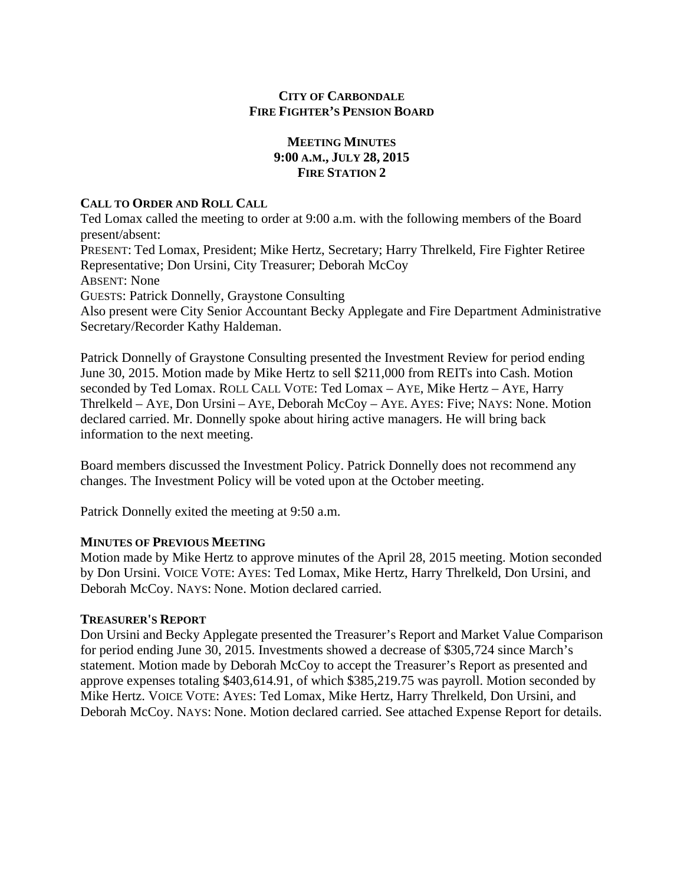## **CITY OF CARBONDALE FIRE FIGHTER'S PENSION BOARD**

## **MEETING MINUTES 9:00 A.M., JULY 28, 2015 FIRE STATION 2**

#### **CALL TO ORDER AND ROLL CALL**

Ted Lomax called the meeting to order at 9:00 a.m. with the following members of the Board present/absent: PRESENT: Ted Lomax, President; Mike Hertz, Secretary; Harry Threlkeld, Fire Fighter Retiree Representative; Don Ursini, City Treasurer; Deborah McCoy ABSENT: None GUESTS: Patrick Donnelly, Graystone Consulting Also present were City Senior Accountant Becky Applegate and Fire Department Administrative Secretary/Recorder Kathy Haldeman.

Patrick Donnelly of Graystone Consulting presented the Investment Review for period ending June 30, 2015. Motion made by Mike Hertz to sell \$211,000 from REITs into Cash. Motion seconded by Ted Lomax. ROLL CALL VOTE: Ted Lomax – AYE, Mike Hertz – AYE, Harry Threlkeld – AYE, Don Ursini – AYE, Deborah McCoy – AYE. AYES: Five; NAYS: None. Motion declared carried. Mr. Donnelly spoke about hiring active managers. He will bring back information to the next meeting.

Board members discussed the Investment Policy. Patrick Donnelly does not recommend any changes. The Investment Policy will be voted upon at the October meeting.

Patrick Donnelly exited the meeting at 9:50 a.m.

### **MINUTES OF PREVIOUS MEETING**

Motion made by Mike Hertz to approve minutes of the April 28, 2015 meeting. Motion seconded by Don Ursini. VOICE VOTE: AYES: Ted Lomax, Mike Hertz, Harry Threlkeld, Don Ursini, and Deborah McCoy. NAYS: None. Motion declared carried.

### **TREASURER'S REPORT**

Don Ursini and Becky Applegate presented the Treasurer's Report and Market Value Comparison for period ending June 30, 2015. Investments showed a decrease of \$305,724 since March's statement. Motion made by Deborah McCoy to accept the Treasurer's Report as presented and approve expenses totaling \$403,614.91, of which \$385,219.75 was payroll. Motion seconded by Mike Hertz. VOICE VOTE: AYES: Ted Lomax, Mike Hertz, Harry Threlkeld, Don Ursini, and Deborah McCoy. NAYS: None. Motion declared carried. See attached Expense Report for details.